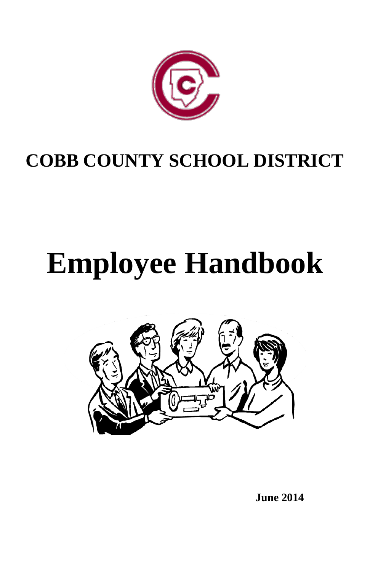

# **COBB COUNTY SCHOOL DISTRICT**

# **Employee Handbook**



**June 2014**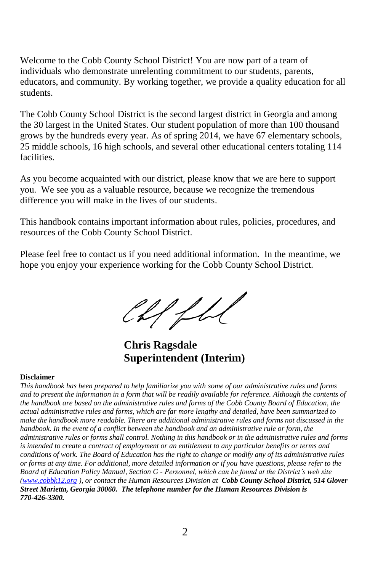Welcome to the Cobb County School District! You are now part of a team of individuals who demonstrate unrelenting commitment to our students, parents, educators, and community. By working together, we provide a quality education for all students.

The Cobb County School District is the second largest district in Georgia and among the 30 largest in the United States. Our student population of more than 100 thousand grows by the hundreds every year. As of spring 2014, we have 67 elementary schools, 25 middle schools, 16 high schools, and several other educational centers totaling 114 facilities.

As you become acquainted with our district, please know that we are here to support you. We see you as a valuable resource, because we recognize the tremendous difference you will make in the lives of our students.

This handbook contains important information about rules, policies, procedures, and resources of the Cobb County School District.

Please feel free to contact us if you need additional information. In the meantime, we hope you enjoy your experience working for the Cobb County School District.

Chffh

 **Chris Ragsdale Superintendent (Interim)**

#### **Disclaimer**

*This handbook has been prepared to help familiarize you with some of our administrative rules and forms and to present the information in a form that will be readily available for reference. Although the contents of the handbook are based on the administrative rules and forms of the Cobb County Board of Education, the actual administrative rules and forms, which are far more lengthy and detailed, have been summarized to make the handbook more readable. There are additional administrative rules and forms not discussed in the handbook. In the event of a conflict between the handbook and an administrative rule or form, the administrative rules or forms shall control. Nothing in this handbook or in the administrative rules and forms is intended to create a contract of employment or an entitlement to any particular benefits or terms and conditions of work. The Board of Education has the right to change or modify any of its administrative rules or forms at any time. For additional, more detailed information or if you have questions, please refer to the Board of Education Policy Manual, Section G - Personnel, which can be found at the District's web site [\(www.cobbk12.org](http://www.cobbk12.org/) ), or contact the Human Resources Division at Cobb County School District, 514 Glover Street Marietta, Georgia 30060. The telephone number for the Human Resources Division is 770-426-3300.*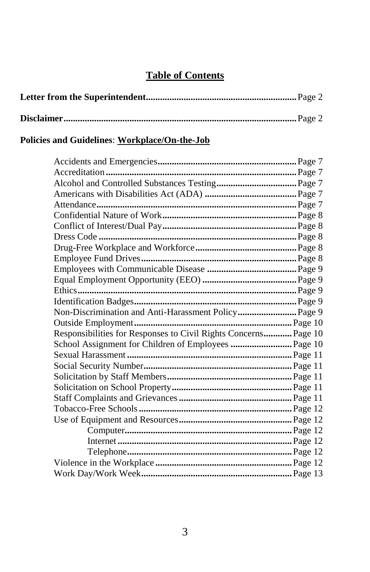# **Table of Contents**

# **Policies and Guidelines**: **Workplace/On-the-Job**

| Non-Discrimination and Anti-Harassment Policy Page 9            |  |
|-----------------------------------------------------------------|--|
|                                                                 |  |
| Responsibilities for Responses to Civil Rights Concerns Page 10 |  |
| School Assignment for Children of Employees  Page 10            |  |
|                                                                 |  |
|                                                                 |  |
|                                                                 |  |
|                                                                 |  |
|                                                                 |  |
|                                                                 |  |
|                                                                 |  |
|                                                                 |  |
|                                                                 |  |
|                                                                 |  |
|                                                                 |  |
|                                                                 |  |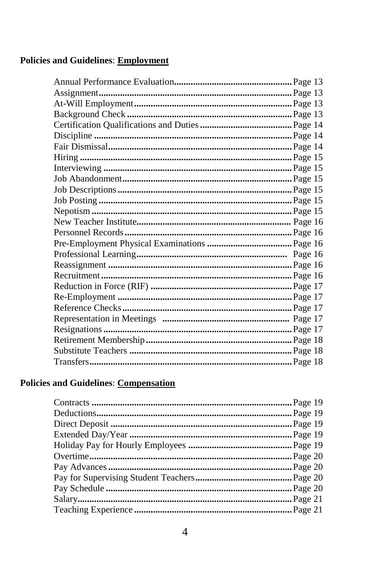# **Policies and Guidelines: Employment**

# **Policies and Guidelines: Compensation**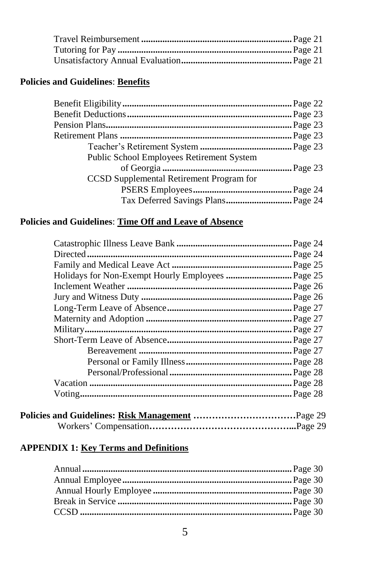#### **Policies and Guidelines**: **Benefits**

| Public School Employees Retirement System |  |
|-------------------------------------------|--|
|                                           |  |
| CCSD Supplemental Retirement Program for  |  |
|                                           |  |
| Tax Deferred Savings Plans Page 24        |  |
|                                           |  |

# **Policies and Guidelines**: **Time Off and Leave of Absence**

| $\cdot$ Page 26 |
|-----------------|
|                 |
|                 |
|                 |
|                 |
|                 |
|                 |
|                 |
|                 |
|                 |
| Page 28.        |

#### **APPENDIX 1: Key Terms and Definitions**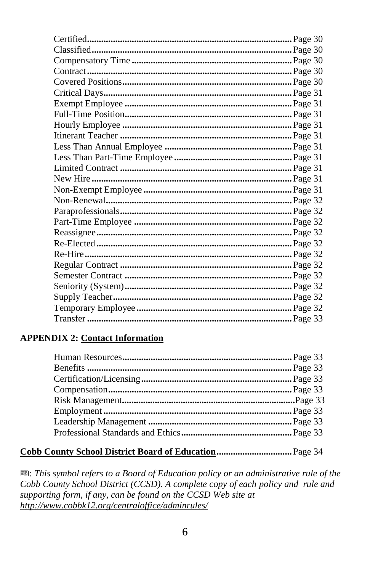#### **APPENDIX 2: Contact Information**

# 

 $\blacksquare$ : This symbol refers to a Board of Education policy or an administrative rule of the Cobb County School District (CCSD). A complete copy of each policy and rule and supporting form, if any, can be found on the CCSD Web site at http://www.cobbk12.org/centraloffice/adminrules/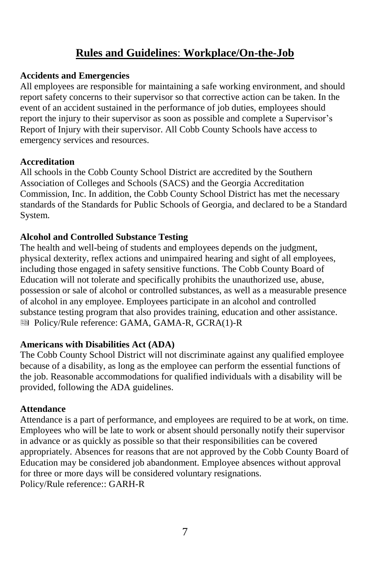# **Rules and Guidelines**: **Workplace/On-the-Job**

#### **Accidents and Emergencies**

All employees are responsible for maintaining a safe working environment, and should report safety concerns to their supervisor so that corrective action can be taken. In the event of an accident sustained in the performance of job duties, employees should report the injury to their supervisor as soon as possible and complete a Supervisor's Report of Injury with their supervisor. All Cobb County Schools have access to emergency services and resources.

#### **Accreditation**

All schools in the Cobb County School District are accredited by the Southern Association of Colleges and Schools (SACS) and the Georgia Accreditation Commission, Inc. In addition, the Cobb County School District has met the necessary standards of the Standards for Public Schools of Georgia, and declared to be a Standard System.

#### **Alcohol and Controlled Substance Testing**

The health and well-being of students and employees depends on the judgment, physical dexterity, reflex actions and unimpaired hearing and sight of all employees, including those engaged in safety sensitive functions. The Cobb County Board of Education will not tolerate and specifically prohibits the unauthorized use, abuse, possession or sale of alcohol or controlled substances, as well as a measurable presence of alcohol in any employee. Employees participate in an alcohol and controlled substance testing program that also provides training, education and other assistance. ■ Policy/Rule reference: GAMA, GAMA-R, GCRA(1)-R

#### **Americans with Disabilities Act (ADA)**

The Cobb County School District will not discriminate against any qualified employee because of a disability, as long as the employee can perform the essential functions of the job. Reasonable accommodations for qualified individuals with a disability will be provided, following the ADA guidelines.

#### **Attendance**

Attendance is a part of performance, and employees are required to be at work, on time. Employees who will be late to work or absent should personally notify their supervisor in advance or as quickly as possible so that their responsibilities can be covered appropriately. Absences for reasons that are not approved by the Cobb County Board of Education may be considered job abandonment. Employee absences without approval for three or more days will be considered voluntary resignations. Policy/Rule reference:: GARH-R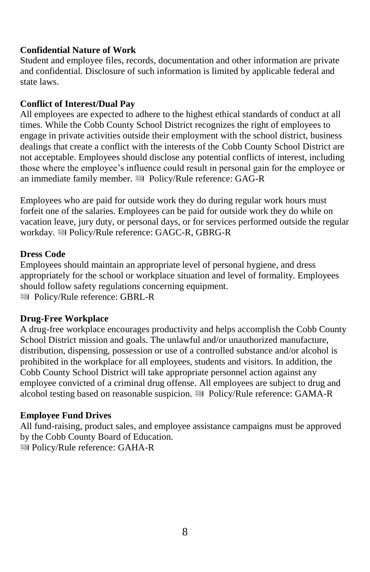#### **Confidential Nature of Work**

Student and employee files, records, documentation and other information are private and confidential. Disclosure of such information is limited by applicable federal and state laws.

#### **Conflict of Interest/Dual Pay**

All employees are expected to adhere to the highest ethical standards of conduct at all times. While the Cobb County School District recognizes the right of employees to engage in private activities outside their employment with the school district, business dealings that create a conflict with the interests of the Cobb County School District are not acceptable. Employees should disclose any potential conflicts of interest, including those where the employee's influence could result in personal gain for the employee or an immediate family member.  $\blacksquare$  Policy/Rule reference: GAG-R

Employees who are paid for outside work they do during regular work hours must forfeit one of the salaries. Employees can be paid for outside work they do while on vacation leave, jury duty, or personal days, or for services performed outside the regular workday. Policy/Rule reference: GAGC-R, GBRG-R

#### **Dress Code**

Employees should maintain an appropriate level of personal hygiene, and dress appropriately for the school or workplace situation and level of formality. Employees should follow safety regulations concerning equipment. Policy/Rule reference: GBRL-R

#### **Drug-Free Workplace**

A drug-free workplace encourages productivity and helps accomplish the Cobb County School District mission and goals. The unlawful and/or unauthorized manufacture, distribution, dispensing, possession or use of a controlled substance and/or alcohol is prohibited in the workplace for all employees, students and visitors. In addition, the Cobb County School District will take appropriate personnel action against any employee convicted of a criminal drug offense. All employees are subject to drug and alcohol testing based on reasonable suspicion. **E** Policy/Rule reference: GAMA-R

#### **Employee Fund Drives**

All fund-raising, product sales, and employee assistance campaigns must be approved by the Cobb County Board of Education.

Policy/Rule reference: GAHA-R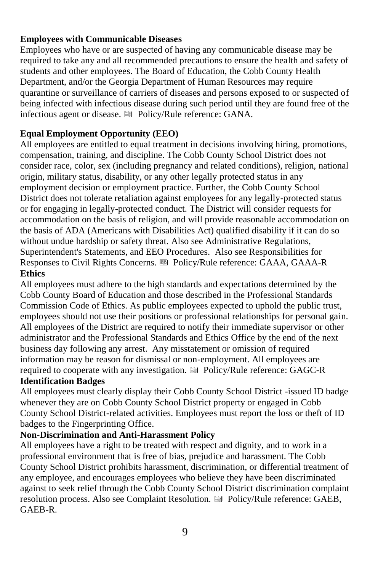#### **Employees with Communicable Diseases**

Employees who have or are suspected of having any communicable disease may be required to take any and all recommended precautions to ensure the health and safety of students and other employees. The Board of Education, the Cobb County Health Department, and/or the Georgia Department of Human Resources may require quarantine or surveillance of carriers of diseases and persons exposed to or suspected of being infected with infectious disease during such period until they are found free of the infectious agent or disease.  $\blacksquare$  Policy/Rule reference: GANA.

#### **Equal Employment Opportunity (EEO)**

All employees are entitled to equal treatment in decisions involving hiring, promotions, compensation, training, and discipline. The Cobb County School District does not consider race, color, sex (including pregnancy and related conditions), religion, national origin, military status, disability, or any other legally protected status in any employment decision or employment practice. Further, the Cobb County School District does not tolerate retaliation against employees for any legally-protected status or for engaging in legally-protected conduct. The District will consider requests for accommodation on the basis of religion, and will provide reasonable accommodation on the basis of ADA (Americans with Disabilities Act) qualified disability if it can do so without undue hardship or safety threat. Also see Administrative Regulations, Superintendent's Statements, and EEO Procedures. Also see Responsibilities for Responses to Civil Rights Concerns. **B** Policy/Rule reference: GAAA, GAAA-R **Ethics**

All employees must adhere to the high standards and expectations determined by the Cobb County Board of Education and those described in the Professional Standards Commission Code of Ethics. As public employees expected to uphold the public trust, employees should not use their positions or professional relationships for personal gain. All employees of the District are required to notify their immediate supervisor or other administrator and the Professional Standards and Ethics Office by the end of the next business day following any arrest. Any misstatement or omission of required information may be reason for dismissal or non-employment. All employees are required to cooperate with any investigation.  $\blacksquare$  Policy/Rule reference: GAGC-R

# **Identification Badges**

All employees must clearly display their Cobb County School District -issued ID badge whenever they are on Cobb County School District property or engaged in Cobb County School District-related activities. Employees must report the loss or theft of ID badges to the Fingerprinting Office.

### **Non-Discrimination and Anti-Harassment Policy**

All employees have a right to be treated with respect and dignity, and to work in a professional environment that is free of bias, prejudice and harassment. The Cobb County School District prohibits harassment, discrimination, or differential treatment of any employee, and encourages employees who believe they have been discriminated against to seek relief through the Cobb County School District discrimination complaint resolution process. Also see Complaint Resolution. **Example 20** Policy/Rule reference: GAEB, GAEB-R.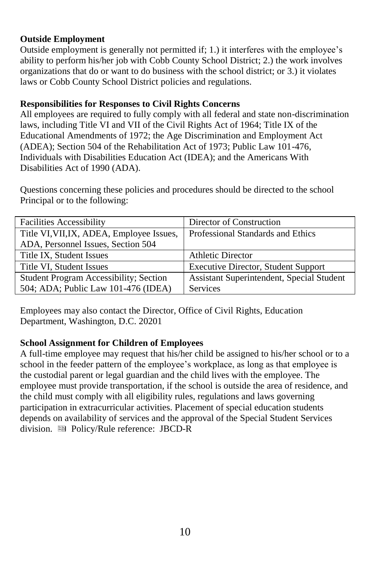#### **Outside Employment**

Outside employment is generally not permitted if; 1.) it interferes with the employee's ability to perform his/her job with Cobb County School District; 2.) the work involves organizations that do or want to do business with the school district; or 3.) it violates laws or Cobb County School District policies and regulations.

#### **Responsibilities for Responses to Civil Rights Concerns**

All employees are required to fully comply with all federal and state non-discrimination laws, including Title VI and VII of the Civil Rights Act of 1964; Title IX of the Educational Amendments of 1972; the Age Discrimination and Employment Act (ADEA); Section 504 of the Rehabilitation Act of 1973; Public Law 101-476, Individuals with Disabilities Education Act (IDEA); and the Americans With Disabilities Act of 1990 (ADA).

Questions concerning these policies and procedures should be directed to the school Principal or to the following:

| <b>Facilities Accessibility</b>               | Director of Construction                   |
|-----------------------------------------------|--------------------------------------------|
| Title VI, VII, IX, ADEA, Employee Issues,     | Professional Standards and Ethics          |
| ADA, Personnel Issues, Section 504            |                                            |
| Title IX, Student Issues                      | <b>Athletic Director</b>                   |
| Title VI, Student Issues                      | <b>Executive Director, Student Support</b> |
| <b>Student Program Accessibility; Section</b> | Assistant Superintendent, Special Student  |
| 504; ADA; Public Law 101-476 (IDEA)           | <b>Services</b>                            |

Employees may also contact the Director, Office of Civil Rights, Education Department, Washington, D.C. 20201

#### **School Assignment for Children of Employees**

A full-time employee may request that his/her child be assigned to his/her school or to a school in the feeder pattern of the employee's workplace, as long as that employee is the custodial parent or legal guardian and the child lives with the employee. The employee must provide transportation, if the school is outside the area of residence, and the child must comply with all eligibility rules, regulations and laws governing participation in extracurricular activities. Placement of special education students depends on availability of services and the approval of the Special Student Services division. Policy/Rule reference: JBCD-R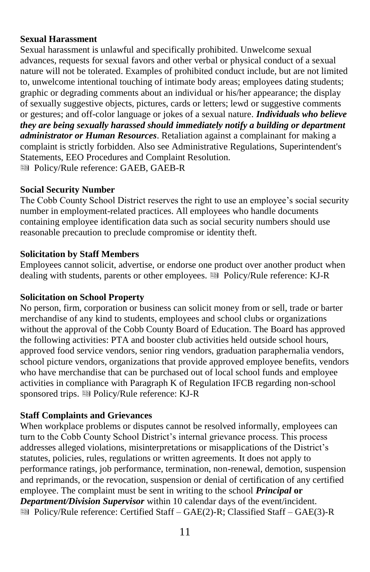#### **Sexual Harassment**

Sexual harassment is unlawful and specifically prohibited. Unwelcome sexual advances, requests for sexual favors and other verbal or physical conduct of a sexual nature will not be tolerated. Examples of prohibited conduct include, but are not limited to, unwelcome intentional touching of intimate body areas; employees dating students; graphic or degrading comments about an individual or his/her appearance; the display of sexually suggestive objects, pictures, cards or letters; lewd or suggestive comments or gestures; and off-color language or jokes of a sexual nature. *Individuals who believe they are being sexually harassed should immediately notify a building or department administrator or Human Resources*. Retaliation against a complainant for making a complaint is strictly forbidden. Also see Administrative Regulations, Superintendent's Statements, EEO Procedures and Complaint Resolution. Policy/Rule reference: GAEB, GAEB-R

#### **Social Security Number**

The Cobb County School District reserves the right to use an employee's social security number in employment-related practices. All employees who handle documents containing employee identification data such as social security numbers should use reasonable precaution to preclude compromise or identity theft.

#### **Solicitation by Staff Members**

Employees cannot solicit, advertise, or endorse one product over another product when dealing with students, parents or other employees. <sup>■</sup> Policy/Rule reference: KJ-R

#### **Solicitation on School Property**

No person, firm, corporation or business can solicit money from or sell, trade or barter merchandise of any kind to students, employees and school clubs or organizations without the approval of the Cobb County Board of Education. The Board has approved the following activities: PTA and booster club activities held outside school hours, approved food service vendors, senior ring vendors, graduation paraphernalia vendors, school picture vendors, organizations that provide approved employee benefits, vendors who have merchandise that can be purchased out of local school funds and employee activities in compliance with Paragraph K of Regulation IFCB regarding non-school sponsored trips. **E** Policy/Rule reference: KJ-R

#### **Staff Complaints and Grievances**

When workplace problems or disputes cannot be resolved informally, employees can turn to the Cobb County School District's internal grievance process. This process addresses alleged violations, misinterpretations or misapplications of the District's statutes, policies, rules, regulations or written agreements. It does not apply to performance ratings, job performance, termination, non-renewal, demotion, suspension and reprimands, or the revocation, suspension or denial of certification of any certified employee. The complaint must be sent in writing to the school *Principal* **or**  *Department/Division Supervisor* within 10 calendar days of the event/incident. Policy/Rule reference: Certified Staff – GAE(2)-R; Classified Staff – GAE(3)-R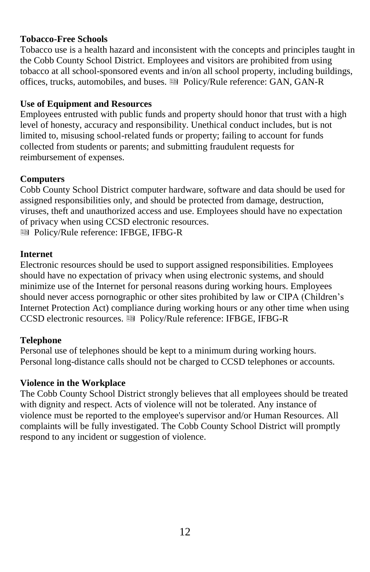#### **Tobacco-Free Schools**

Tobacco use is a health hazard and inconsistent with the concepts and principles taught in the Cobb County School District. Employees and visitors are prohibited from using tobacco at all school-sponsored events and in/on all school property, including buildings, offices, trucks, automobiles, and buses.  $\blacksquare$  Policy/Rule reference: GAN, GAN-R

#### **Use of Equipment and Resources**

Employees entrusted with public funds and property should honor that trust with a high level of honesty, accuracy and responsibility. Unethical conduct includes, but is not limited to, misusing school-related funds or property; failing to account for funds collected from students or parents; and submitting fraudulent requests for reimbursement of expenses.

#### **Computers**

Cobb County School District computer hardware, software and data should be used for assigned responsibilities only, and should be protected from damage, destruction, viruses, theft and unauthorized access and use. Employees should have no expectation of privacy when using CCSD electronic resources.

Policy/Rule reference: IFBGE, IFBG-R

#### **Internet**

Electronic resources should be used to support assigned responsibilities. Employees should have no expectation of privacy when using electronic systems, and should minimize use of the Internet for personal reasons during working hours. Employees should never access pornographic or other sites prohibited by law or CIPA (Children's Internet Protection Act) compliance during working hours or any other time when using CCSD electronic resources. Policy/Rule reference: IFBGE, IFBG-R

#### **Telephone**

Personal use of telephones should be kept to a minimum during working hours. Personal long-distance calls should not be charged to CCSD telephones or accounts.

#### **Violence in the Workplace**

The Cobb County School District strongly believes that all employees should be treated with dignity and respect. Acts of violence will not be tolerated. Any instance of violence must be reported to the employee's supervisor and/or Human Resources. All complaints will be fully investigated. The Cobb County School District will promptly respond to any incident or suggestion of violence.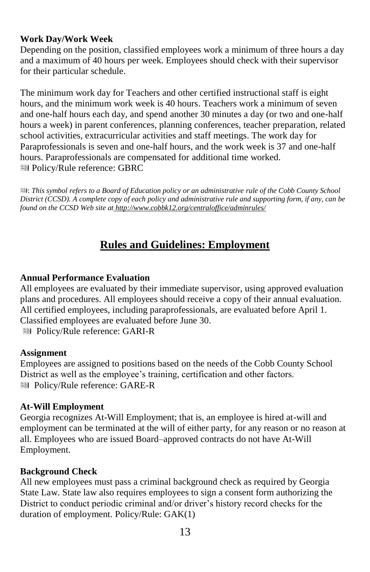#### **Work Day/Work Week**

Depending on the position, classified employees work a minimum of three hours a day and a maximum of 40 hours per week. Employees should check with their supervisor for their particular schedule.

The minimum work day for Teachers and other certified instructional staff is eight hours, and the minimum work week is 40 hours. Teachers work a minimum of seven and one-half hours each day, and spend another 30 minutes a day (or two and one-half hours a week) in parent conferences, planning conferences, teacher preparation, related school activities, extracurricular activities and staff meetings. The work day for Paraprofessionals is seven and one-half hours, and the work week is 37 and one-half hours. Paraprofessionals are compensated for additional time worked. Policy/Rule reference: GBRC

: *This symbol refers to a Board of Education policy or an administrative rule of the Cobb County School District (CCSD). A complete copy of each policy and administrative rule and supporting form, if any, can be found on the CCSD Web site at http://www.cobbk12.org/centraloffice/adminrules/*

# **Rules and Guidelines: Employment**

#### **Annual Performance Evaluation**

All employees are evaluated by their immediate supervisor, using approved evaluation plans and procedures. All employees should receive a copy of their annual evaluation. All certified employees, including paraprofessionals, are evaluated before April 1. Classified employees are evaluated before June 30. Policy/Rule reference: GARI-R

#### **Assignment**

Employees are assigned to positions based on the needs of the Cobb County School District as well as the employee's training, certification and other factors. Policy/Rule reference: GARE-R

#### **At-Will Employment**

Georgia recognizes At-Will Employment; that is, an employee is hired at-will and employment can be terminated at the will of either party, for any reason or no reason at all. Employees who are issued Board–approved contracts do not have At-Will Employment.

#### **Background Check**

All new employees must pass a criminal background check as required by Georgia State Law. State law also requires employees to sign a consent form authorizing the District to conduct periodic criminal and/or driver's history record checks for the duration of employment. Policy/Rule: GAK(1)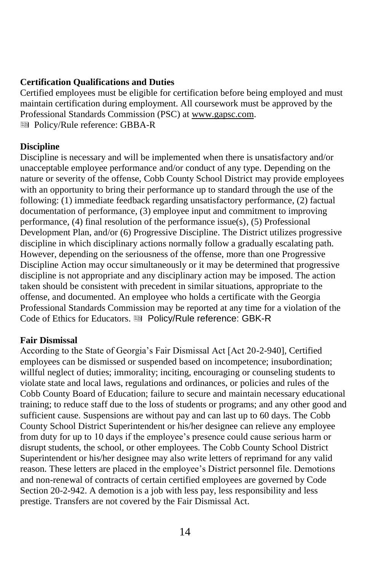#### **Certification Qualifications and Duties**

Certified employees must be eligible for certification before being employed and must maintain certification during employment. All coursework must be approved by the Professional Standards Commission (PSC) at www.gapsc.com. Policy/Rule reference: GBBA-R

#### **Discipline**

Discipline is necessary and will be implemented when there is unsatisfactory and/or unacceptable employee performance and/or conduct of any type. Depending on the nature or severity of the offense, Cobb County School District may provide employees with an opportunity to bring their performance up to standard through the use of the following: (1) immediate feedback regarding unsatisfactory performance, (2) factual documentation of performance, (3) employee input and commitment to improving performance, (4) final resolution of the performance issue(s), (5) Professional Development Plan, and/or (6) Progressive Discipline. The District utilizes progressive discipline in which disciplinary actions normally follow a gradually escalating path. However, depending on the seriousness of the offense, more than one Progressive Discipline Action may occur simultaneously or it may be determined that progressive discipline is not appropriate and any disciplinary action may be imposed. The action taken should be consistent with precedent in similar situations, appropriate to the offense, and documented. An employee who holds a certificate with the Georgia Professional Standards Commission may be reported at any time for a violation of the Code of Ethics for Educators. Policy/Rule reference: GBK-R

#### **Fair Dismissal**

According to the State of Georgia's Fair Dismissal Act [Act 20-2-940], Certified employees can be dismissed or suspended based on incompetence; insubordination; willful neglect of duties; immorality; inciting, encouraging or counseling students to violate state and local laws, regulations and ordinances, or policies and rules of the Cobb County Board of Education; failure to secure and maintain necessary educational training; to reduce staff due to the loss of students or programs; and any other good and sufficient cause. Suspensions are without pay and can last up to 60 days. The Cobb County School District Superintendent or his/her designee can relieve any employee from duty for up to 10 days if the employee's presence could cause serious harm or disrupt students, the school, or other employees. The Cobb County School District Superintendent or his/her designee may also write letters of reprimand for any valid reason. These letters are placed in the employee's District personnel file. Demotions and non-renewal of contracts of certain certified employees are governed by Code Section 20-2-942. A demotion is a job with less pay, less responsibility and less prestige. Transfers are not covered by the Fair Dismissal Act.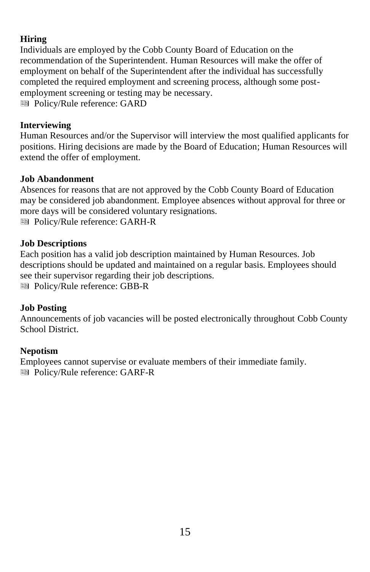#### **Hiring**

Individuals are employed by the Cobb County Board of Education on the recommendation of the Superintendent. Human Resources will make the offer of employment on behalf of the Superintendent after the individual has successfully completed the required employment and screening process, although some postemployment screening or testing may be necessary. Policy/Rule reference: GARD

#### **Interviewing**

Human Resources and/or the Supervisor will interview the most qualified applicants for positions. Hiring decisions are made by the Board of Education; Human Resources will extend the offer of employment.

#### **Job Abandonment**

Absences for reasons that are not approved by the Cobb County Board of Education may be considered job abandonment. Employee absences without approval for three or more days will be considered voluntary resignations. Policy/Rule reference: GARH-R

#### **Job Descriptions**

Each position has a valid job description maintained by Human Resources. Job descriptions should be updated and maintained on a regular basis. Employees should see their supervisor regarding their job descriptions. Policy/Rule reference: GBB-R

#### **Job Posting**

Announcements of job vacancies will be posted electronically throughout Cobb County School District.

#### **Nepotism**

Employees cannot supervise or evaluate members of their immediate family. Policy/Rule reference: GARF-R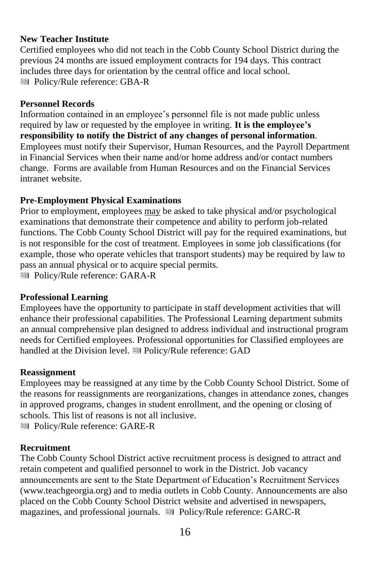#### **New Teacher Institute**

Certified employees who did not teach in the Cobb County School District during the previous 24 months are issued employment contracts for 194 days. This contract includes three days for orientation by the central office and local school. Policy/Rule reference: GBA-R

#### **Personnel Records**

Information contained in an employee's personnel file is not made public unless required by law or requested by the employee in writing. **It is the employee's responsibility to notify the District of any changes of personal information**. Employees must notify their Supervisor, Human Resources, and the Payroll Department in Financial Services when their name and/or home address and/or contact numbers change. Forms are available from Human Resources and on the Financial Services intranet website.

#### **Pre-Employment Physical Examinations**

Prior to employment, employees may be asked to take physical and/or psychological examinations that demonstrate their competence and ability to perform job-related functions. The Cobb County School District will pay for the required examinations, but is not responsible for the cost of treatment. Employees in some job classifications (for example, those who operate vehicles that transport students) may be required by law to pass an annual physical or to acquire special permits.

Policy/Rule reference: GARA-R

#### **Professional Learning**

Employees have the opportunity to participate in staff development activities that will enhance their professional capabilities. The Professional Learning department submits an annual comprehensive plan designed to address individual and instructional program needs for Certified employees. Professional opportunities for Classified employees are handled at the Division level. **I** Policy/Rule reference: GAD

#### **Reassignment**

Employees may be reassigned at any time by the Cobb County School District. Some of the reasons for reassignments are reorganizations, changes in attendance zones, changes in approved programs, changes in student enrollment, and the opening or closing of schools. This list of reasons is not all inclusive. Policy/Rule reference: GARE-R

#### **Recruitment**

The Cobb County School District active recruitment process is designed to attract and retain competent and qualified personnel to work in the District. Job vacancy announcements are sent to the State Department of Education's Recruitment Services [\(www.teachgeorgia.org\)](http://www.teachgeorgia.org/) and to media outlets in Cobb County. Announcements are also placed on the Cobb County School District website and advertised in newspapers, magazines, and professional journals. **Executed Policy/Rule reference: GARC-R**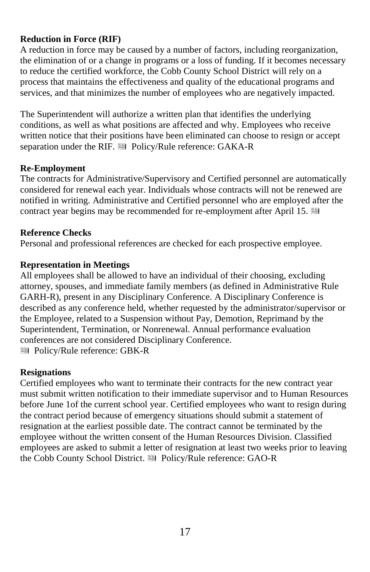#### **Reduction in Force (RIF)**

A reduction in force may be caused by a number of factors, including reorganization, the elimination of or a change in programs or a loss of funding. If it becomes necessary to reduce the certified workforce, the Cobb County School District will rely on a process that maintains the effectiveness and quality of the educational programs and services, and that minimizes the number of employees who are negatively impacted.

The Superintendent will authorize a written plan that identifies the underlying conditions, as well as what positions are affected and why. Employees who receive written notice that their positions have been eliminated can choose to resign or accept separation under the RIF. **B** Policy/Rule reference: GAKA-R

#### **Re-Employment**

The contracts for Administrative/Supervisory and Certified personnel are automatically considered for renewal each year. Individuals whose contracts will not be renewed are notified in writing. Administrative and Certified personnel who are employed after the contract year begins may be recommended for re-employment after April 15.

#### **Reference Checks**

Personal and professional references are checked for each prospective employee.

#### **Representation in Meetings**

All employees shall be allowed to have an individual of their choosing, excluding attorney, spouses, and immediate family members (as defined in Administrative Rule GARH-R), present in any Disciplinary Conference. A Disciplinary Conference is described as any conference held, whether requested by the administrator/supervisor or the Employee, related to a Suspension without Pay, Demotion, Reprimand by the Superintendent, Termination, or Nonrenewal. Annual performance evaluation conferences are not considered Disciplinary Conference.

Policy/Rule reference: GBK-R

#### **Resignations**

Certified employees who want to terminate their contracts for the new contract year must submit written notification to their immediate supervisor and to Human Resources before June 1of the current school year. Certified employees who want to resign during the contract period because of emergency situations should submit a statement of resignation at the earliest possible date. The contract cannot be terminated by the employee without the written consent of the Human Resources Division. Classified employees are asked to submit a letter of resignation at least two weeks prior to leaving the Cobb County School District. **ID** Policy/Rule reference: GAO-R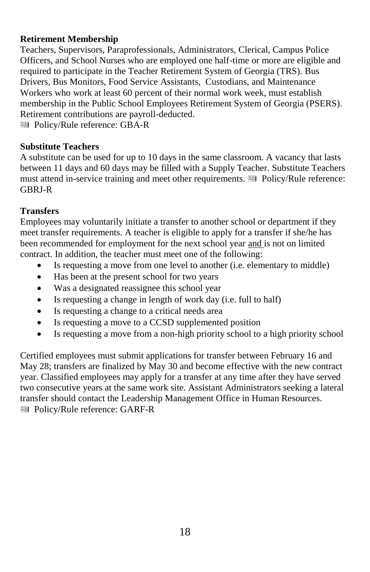#### **Retirement Membership**

Teachers, Supervisors, Paraprofessionals, Administrators, Clerical, Campus Police Officers, and School Nurses who are employed one half-time or more are eligible and required to participate in the Teacher Retirement System of Georgia (TRS). Bus Drivers, Bus Monitors, Food Service Assistants, Custodians, and Maintenance Workers who work at least 60 percent of their normal work week, must establish membership in the Public School Employees Retirement System of Georgia (PSERS). Retirement contributions are payroll-deducted.

Policy/Rule reference: GBA-R

#### **Substitute Teachers**

A substitute can be used for up to 10 days in the same classroom. A vacancy that lasts between 11 days and 60 days may be filled with a Supply Teacher. Substitute Teachers must attend in-service training and meet other requirements. Policy/Rule reference: GBRJ-R

#### **Transfers**

Employees may voluntarily initiate a transfer to another school or department if they meet transfer requirements. A teacher is eligible to apply for a transfer if she/he has been recommended for employment for the next school year and is not on limited contract. In addition, the teacher must meet one of the following:

- Is requesting a move from one level to another (i.e. elementary to middle)
- Has been at the present school for two years
- Was a designated reassignee this school year
- Is requesting a change in length of work day (i.e. full to half)
- Is requesting a change to a critical needs area
- Is requesting a move to a CCSD supplemented position
- Is requesting a move from a non-high priority school to a high priority school

Certified employees must submit applications for transfer between February 16 and May 28; transfers are finalized by May 30 and become effective with the new contract year. Classified employees may apply for a transfer at any time after they have served two consecutive years at the same work site. Assistant Administrators seeking a lateral transfer should contact the Leadership Management Office in Human Resources. Policy/Rule reference: GARF-R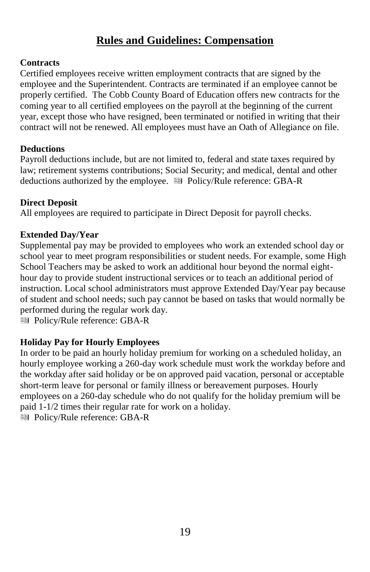# **Rules and Guidelines: Compensation**

#### **Contracts**

Certified employees receive written employment contracts that are signed by the employee and the Superintendent. Contracts are terminated if an employee cannot be properly certified. The Cobb County Board of Education offers new contracts for the coming year to all certified employees on the payroll at the beginning of the current year, except those who have resigned, been terminated or notified in writing that their contract will not be renewed. All employees must have an Oath of Allegiance on file.

#### **Deductions**

Payroll deductions include, but are not limited to, federal and state taxes required by law; retirement systems contributions; Social Security; and medical, dental and other deductions authorized by the employee.  $\blacksquare$  Policy/Rule reference: GBA-R

#### **Direct Deposit**

All employees are required to participate in Direct Deposit for payroll checks.

#### **Extended Day/Year**

Supplemental pay may be provided to employees who work an extended school day or school year to meet program responsibilities or student needs. For example, some High School Teachers may be asked to work an additional hour beyond the normal eighthour day to provide student instructional services or to teach an additional period of instruction. Local school administrators must approve Extended Day/Year pay because of student and school needs; such pay cannot be based on tasks that would normally be performed during the regular work day.

Policy/Rule reference: GBA-R

#### **Holiday Pay for Hourly Employees**

In order to be paid an hourly holiday premium for working on a scheduled holiday, an hourly employee working a 260-day work schedule must work the workday before and the workday after said holiday or be on approved paid vacation, personal or acceptable short-term leave for personal or family illness or bereavement purposes. Hourly employees on a 260-day schedule who do not qualify for the holiday premium will be paid 1-1/2 times their regular rate for work on a holiday. Policy/Rule reference: GBA-R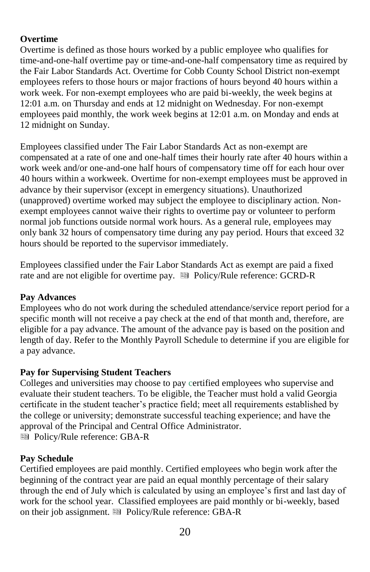#### **Overtime**

Overtime is defined as those hours worked by a public employee who qualifies for time-and-one-half overtime pay or time-and-one-half compensatory time as required by the Fair Labor Standards Act. Overtime for Cobb County School District non-exempt employees refers to those hours or major fractions of hours beyond 40 hours within a work week. For non-exempt employees who are paid bi-weekly, the week begins at 12:01 a.m. on Thursday and ends at 12 midnight on Wednesday. For non-exempt employees paid monthly, the work week begins at 12:01 a.m. on Monday and ends at 12 midnight on Sunday.

Employees classified under The Fair Labor Standards Act as non-exempt are compensated at a rate of one and one-half times their hourly rate after 40 hours within a work week and/or one-and-one half hours of compensatory time off for each hour over 40 hours within a workweek. Overtime for non-exempt employees must be approved in advance by their supervisor (except in emergency situations). Unauthorized (unapproved) overtime worked may subject the employee to disciplinary action. Nonexempt employees cannot waive their rights to overtime pay or volunteer to perform normal job functions outside normal work hours. As a general rule, employees may only bank 32 hours of compensatory time during any pay period. Hours that exceed 32 hours should be reported to the supervisor immediately.

Employees classified under the Fair Labor Standards Act as exempt are paid a fixed rate and are not eligible for overtime pay.  $\blacksquare$  Policy/Rule reference: GCRD-R

#### **Pay Advances**

Employees who do not work during the scheduled attendance/service report period for a specific month will not receive a pay check at the end of that month and, therefore, are eligible for a pay advance. The amount of the advance pay is based on the position and length of day. Refer to the Monthly Payroll Schedule to determine if you are eligible for a pay advance.

#### **Pay for Supervising Student Teachers**

Colleges and universities may choose to pay certified employees who supervise and evaluate their student teachers. To be eligible, the Teacher must hold a valid Georgia certificate in the student teacher's practice field; meet all requirements established by the college or university; demonstrate successful teaching experience; and have the approval of the Principal and Central Office Administrator. Policy/Rule reference: GBA-R

#### **Pay Schedule**

Certified employees are paid monthly. Certified employees who begin work after the beginning of the contract year are paid an equal monthly percentage of their salary through the end of July which is calculated by using an employee's first and last day of work for the school year. Classified employees are paid monthly or bi-weekly, based on their job assignment.  $\blacksquare$  Policy/Rule reference: GBA-R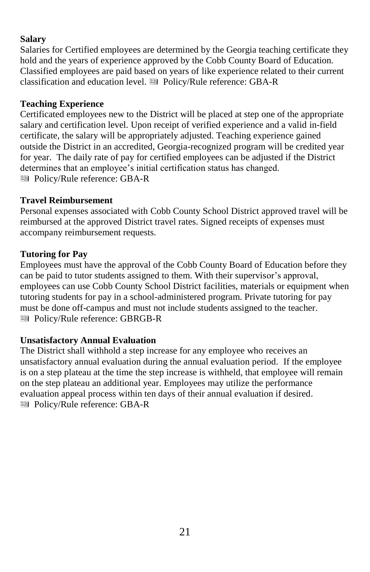#### **Salary**

Salaries for Certified employees are determined by the Georgia teaching certificate they hold and the years of experience approved by the Cobb County Board of Education. Classified employees are paid based on years of like experience related to their current classification and education level. **Executed Policy/Rule reference: GBA-R** 

#### **Teaching Experience**

Certificated employees new to the District will be placed at step one of the appropriate salary and certification level. Upon receipt of verified experience and a valid in-field certificate, the salary will be appropriately adjusted. Teaching experience gained outside the District in an accredited, Georgia-recognized program will be credited year for year. The daily rate of pay for certified employees can be adjusted if the District determines that an employee's initial certification status has changed. **图 Policy/Rule reference: GBA-R** 

#### **Travel Reimbursement**

Personal expenses associated with Cobb County School District approved travel will be reimbursed at the approved District travel rates. Signed receipts of expenses must accompany reimbursement requests.

#### **Tutoring for Pay**

Employees must have the approval of the Cobb County Board of Education before they can be paid to tutor students assigned to them. With their supervisor's approval, employees can use Cobb County School District facilities, materials or equipment when tutoring students for pay in a school-administered program. Private tutoring for pay must be done off-campus and must not include students assigned to the teacher. Policy/Rule reference: GBRGB-R

#### **Unsatisfactory Annual Evaluation**

The District shall withhold a step increase for any employee who receives an unsatisfactory annual evaluation during the annual evaluation period. If the employee is on a step plateau at the time the step increase is withheld, that employee will remain on the step plateau an additional year. Employees may utilize the performance evaluation appeal process within ten days of their annual evaluation if desired*.* **图 Policy/Rule reference: GBA-R**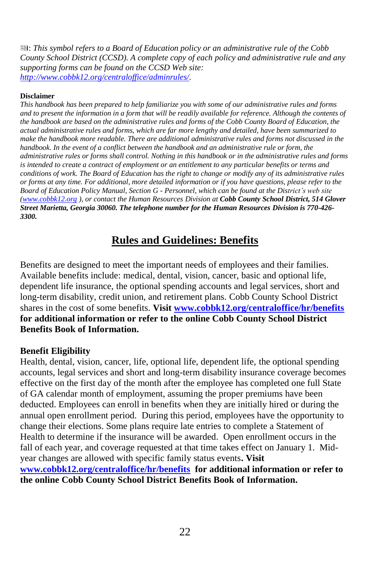: *This symbol refers to a Board of Education policy or an administrative rule of the Cobb County School District (CCSD). A complete copy of each policy and administrative rule and any supporting forms can be found on the CCSD Web site: [http://www.cobbk12.org/centraloffice/adminrules/.](http://www.cobbk12.org/centraloffice/adminrules/)*

#### **Disclaimer**

*This handbook has been prepared to help familiarize you with some of our administrative rules and forms*  and to present the information in a form that will be readily available for reference. Although the contents of *the handbook are based on the administrative rules and forms of the Cobb County Board of Education, the actual administrative rules and forms, which are far more lengthy and detailed, have been summarized to make the handbook more readable. There are additional administrative rules and forms not discussed in the handbook. In the event of a conflict between the handbook and an administrative rule or form, the administrative rules or forms shall control. Nothing in this handbook or in the administrative rules and forms is intended to create a contract of employment or an entitlement to any particular benefits or terms and conditions of work. The Board of Education has the right to change or modify any of its administrative rules or forms at any time. For additional, more detailed information or if you have questions, please refer to the Board of Education Policy Manual, Section G - Personnel, which can be found at the District's web site [\(www.cobbk12.org](http://www.cobbk12.org/) ), or contact the Human Resources Division at Cobb County School District, 514 Glover Street Marietta, Georgia 30060. The telephone number for the Human Resources Division is 770-426- 3300.*

# **Rules and Guidelines: Benefits**

Benefits are designed to meet the important needs of employees and their families. Available benefits include: medical, dental, vision, cancer, basic and optional life, dependent life insurance, the optional spending accounts and legal services, short and long-term disability, credit union, and retirement plans. Cobb County School District shares in the cost of some benefits. **Visit [www.cobbk12.org/centraloffice/hr/benefits](http://www.cobbk12.org/centraloffice/hr/benefits) for additional information or refer to the online Cobb County School District Benefits Book of Information.** 

#### **Benefit Eligibility**

Health, dental, vision, cancer, life, optional life, dependent life, the optional spending accounts, legal services and short and long-term disability insurance coverage becomes effective on the first day of the month after the employee has completed one full State of GA calendar month of employment, assuming the proper premiums have been deducted. Employees can enroll in benefits when they are initially hired or during the annual open enrollment period. During this period, employees have the opportunity to change their elections. Some plans require late entries to complete a Statement of Health to determine if the insurance will be awarded. Open enrollment occurs in the fall of each year, and coverage requested at that time takes effect on January 1. Midyear changes are allowed with specific family status events**. Visit [www.cobbk12.org/centraloffice/hr/benefits](http://www.cobbk12.org/centraloffice/hr/benefits) for additional information or refer to the online Cobb County School District Benefits Book of Information.**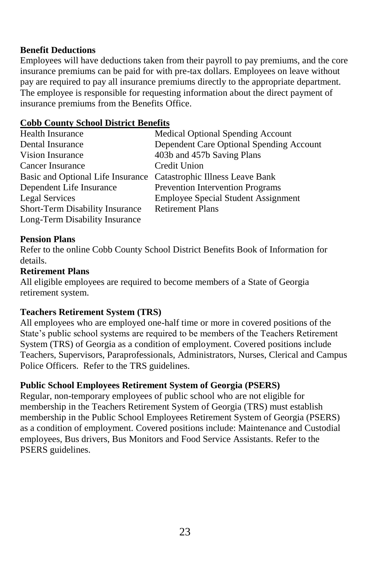#### **Benefit Deductions**

Employees will have deductions taken from their payroll to pay premiums, and the core insurance premiums can be paid for with pre-tax dollars. Employees on leave without pay are required to pay all insurance premiums directly to the appropriate department. The employee is responsible for requesting information about the direct payment of insurance premiums from the Benefits Office.

#### **Cobb County School District Benefits**

| <b>Health Insurance</b>                                           | Medical Optional Spending Account          |
|-------------------------------------------------------------------|--------------------------------------------|
| Dental Insurance                                                  | Dependent Care Optional Spending Account   |
| Vision Insurance                                                  | 403b and 457b Saving Plans                 |
| Cancer Insurance                                                  | Credit Union                               |
| Basic and Optional Life Insurance Catastrophic Illness Leave Bank |                                            |
| Dependent Life Insurance                                          | <b>Prevention Intervention Programs</b>    |
| Legal Services                                                    | <b>Employee Special Student Assignment</b> |
| Short-Term Disability Insurance                                   | <b>Retirement Plans</b>                    |
| Long-Term Disability Insurance                                    |                                            |

#### **Pension Plans**

Refer to the online Cobb County School District Benefits Book of Information for details.

#### **Retirement Plans**

All eligible employees are required to become members of a State of Georgia retirement system.

#### **Teachers Retirement System (TRS)**

All employees who are employed one-half time or more in covered positions of the State's public school systems are required to be members of the Teachers Retirement System (TRS) of Georgia as a condition of employment. Covered positions include Teachers, Supervisors, Paraprofessionals, Administrators, Nurses, Clerical and Campus Police Officers. Refer to the TRS guidelines.

#### **Public School Employees Retirement System of Georgia (PSERS)**

Regular, non-temporary employees of public school who are not eligible for membership in the Teachers Retirement System of Georgia (TRS) must establish membership in the Public School Employees Retirement System of Georgia (PSERS) as a condition of employment. Covered positions include: Maintenance and Custodial employees, Bus drivers, Bus Monitors and Food Service Assistants. Refer to the PSERS guidelines.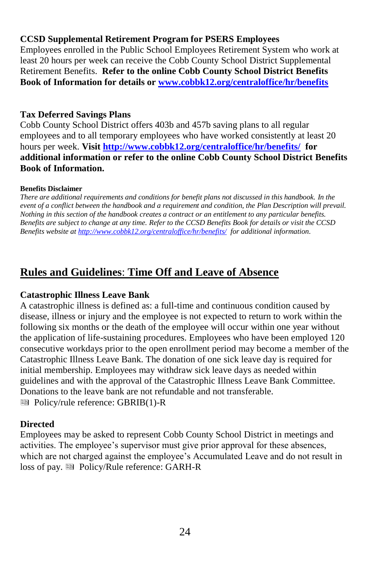#### **CCSD Supplemental Retirement Program for PSERS Employees**

Employees enrolled in the Public School Employees Retirement System who work at least 20 hours per week can receive the Cobb County School District Supplemental Retirement Benefits. **Refer to the online Cobb County School District Benefits Book of Information for details or [www.cobbk12.org/centraloffice/hr/benefits](http://www.cobbk12.org/centraloffice/hr/benefits)**

#### **Tax Deferred Savings Plans**

Cobb County School District offers 403b and 457b saving plans to all regular employees and to all temporary employees who have worked consistently at least 20 hours per week. **Visit<http://www.cobbk12.org/centraloffice/hr/benefits/> for additional information or refer to the online Cobb County School District Benefits Book of Information.**

#### **Benefits Disclaimer**

*There are additional requirements and conditions for benefit plans not discussed in this handbook. In the event of a conflict between the handbook and a requirement and condition, the Plan Description will prevail. Nothing in this section of the handbook creates a contract or an entitlement to any particular benefits. Benefits are subject to change at any time. Refer to the CCSD Benefits Book for details or visit the CCSD Benefits website a[t http://www.cobbk12.org/centraloffice/hr/benefits/](http://www.cobbk12.org/centraloffice/hr/benefits/) for additional information.*

# **Rules and Guidelines**: **Time Off and Leave of Absence**

#### **Catastrophic Illness Leave Bank**

A catastrophic illness is defined as: a full-time and continuous condition caused by disease, illness or injury and the employee is not expected to return to work within the following six months or the death of the employee will occur within one year without the application of life-sustaining procedures. Employees who have been employed 120 consecutive workdays prior to the open enrollment period may become a member of the Catastrophic Illness Leave Bank. The donation of one sick leave day is required for initial membership. Employees may withdraw sick leave days as needed within guidelines and with the approval of the Catastrophic Illness Leave Bank Committee. Donations to the leave bank are not refundable and not transferable. ■ Policy/rule reference: GBRIB(1)-R

#### **Directed**

Employees may be asked to represent Cobb County School District in meetings and activities. The employee's supervisor must give prior approval for these absences, which are not charged against the employee's Accumulated Leave and do not result in loss of pay.  $\blacksquare$  Policy/Rule reference: GARH-R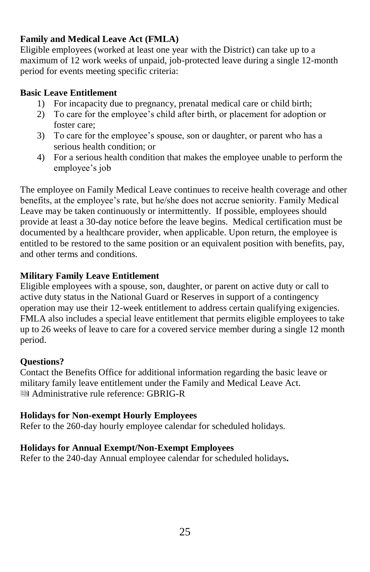#### **Family and Medical Leave Act (FMLA)**

Eligible employees (worked at least one year with the District) can take up to a maximum of 12 work weeks of unpaid, job-protected leave during a single 12-month period for events meeting specific criteria:

#### **Basic Leave Entitlement**

- 1) For incapacity due to pregnancy, prenatal medical care or child birth;
- 2) To care for the employee's child after birth, or placement for adoption or foster care;
- 3) To care for the employee's spouse, son or daughter, or parent who has a serious health condition; or
- 4) For a serious health condition that makes the employee unable to perform the employee's job

The employee on Family Medical Leave continues to receive health coverage and other benefits, at the employee's rate, but he/she does not accrue seniority. Family Medical Leave may be taken continuously or intermittently. If possible, employees should provide at least a 30-day notice before the leave begins. Medical certification must be documented by a healthcare provider, when applicable. Upon return, the employee is entitled to be restored to the same position or an equivalent position with benefits, pay, and other terms and conditions.

# **Military Family Leave Entitlement**

Eligible employees with a spouse, son, daughter, or parent on active duty or call to active duty status in the National Guard or Reserves in support of a contingency operation may use their 12-week entitlement to address certain qualifying exigencies. FMLA also includes a special leave entitlement that permits eligible employees to take up to 26 weeks of leave to care for a covered service member during a single 12 month period.

# **Questions?**

Contact the Benefits Office for additional information regarding the basic leave or military family leave entitlement under the Family and Medical Leave Act. Administrative rule reference: GBRIG-R

#### **Holidays for Non-exempt Hourly Employees**

Refer to the 260-day hourly employee calendar for scheduled holidays.

#### **Holidays for Annual Exempt/Non-Exempt Employees**

Refer to the 240-day Annual employee calendar for scheduled holidays**.**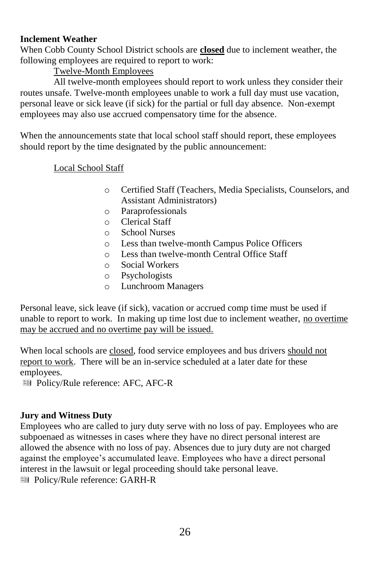#### **Inclement Weather**

When Cobb County School District schools are **closed** due to inclement weather, the following employees are required to report to work:

#### Twelve-Month Employees

All twelve-month employees should report to work unless they consider their routes unsafe. Twelve-month employees unable to work a full day must use vacation, personal leave or sick leave (if sick) for the partial or full day absence. Non-exempt employees may also use accrued compensatory time for the absence.

When the announcements state that local school staff should report, these employees should report by the time designated by the public announcement:

#### Local School Staff

- o Certified Staff (Teachers, Media Specialists, Counselors, and Assistant Administrators)
- o Paraprofessionals
- o Clerical Staff
- o School Nurses
- o Less than twelve-month Campus Police Officers
- o Less than twelve-month Central Office Staff
- o Social Workers
- o Psychologists
- o Lunchroom Managers

Personal leave, sick leave (if sick), vacation or accrued comp time must be used if unable to report to work. In making up time lost due to inclement weather, no overtime may be accrued and no overtime pay will be issued.

When local schools are closed, food service employees and bus drivers should not report to work. There will be an in-service scheduled at a later date for these employees.

Policy/Rule reference: AFC, AFC-R

#### **Jury and Witness Duty**

Employees who are called to jury duty serve with no loss of pay. Employees who are subpoenaed as witnesses in cases where they have no direct personal interest are allowed the absence with no loss of pay. Absences due to jury duty are not charged against the employee's accumulated leave. Employees who have a direct personal interest in the lawsuit or legal proceeding should take personal leave.

Policy/Rule reference: GARH-R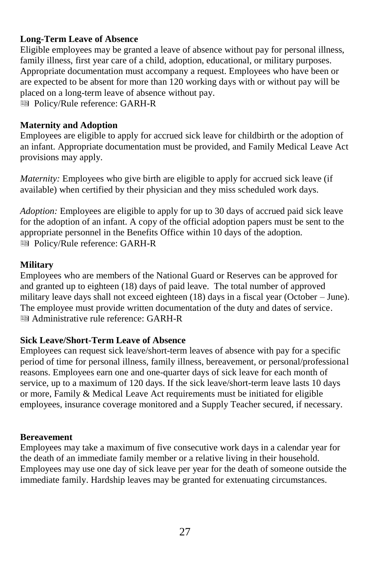#### **Long-Term Leave of Absence**

Eligible employees may be granted a leave of absence without pay for personal illness, family illness, first year care of a child, adoption, educational, or military purposes. Appropriate documentation must accompany a request. Employees who have been or are expected to be absent for more than 120 working days with or without pay will be placed on a long-term leave of absence without pay. Policy/Rule reference: GARH-R

#### **Maternity and Adoption**

Employees are eligible to apply for accrued sick leave for childbirth or the adoption of an infant. Appropriate documentation must be provided, and Family Medical Leave Act provisions may apply.

*Maternity:* Employees who give birth are eligible to apply for accrued sick leave (if available) when certified by their physician and they miss scheduled work days.

*Adoption:* Employees are eligible to apply for up to 30 days of accrued paid sick leave for the adoption of an infant. A copy of the official adoption papers must be sent to the appropriate personnel in the Benefits Office within 10 days of the adoption. Policy/Rule reference: GARH-R

#### **Military**

Employees who are members of the National Guard or Reserves can be approved for and granted up to eighteen (18) days of paid leave. The total number of approved military leave days shall not exceed eighteen (18) days in a fiscal year (October – June). The employee must provide written documentation of the duty and dates of service. Administrative rule reference: GARH-R

#### **Sick Leave/Short-Term Leave of Absence**

Employees can request sick leave/short-term leaves of absence with pay for a specific period of time for personal illness, family illness, bereavement, or personal/professional reasons. Employees earn one and one-quarter days of sick leave for each month of service, up to a maximum of 120 days. If the sick leave/short-term leave lasts 10 days or more, Family & Medical Leave Act requirements must be initiated for eligible employees, insurance coverage monitored and a Supply Teacher secured, if necessary.

#### **Bereavement**

Employees may take a maximum of five consecutive work days in a calendar year for the death of an immediate family member or a relative living in their household. Employees may use one day of sick leave per year for the death of someone outside the immediate family. Hardship leaves may be granted for extenuating circumstances.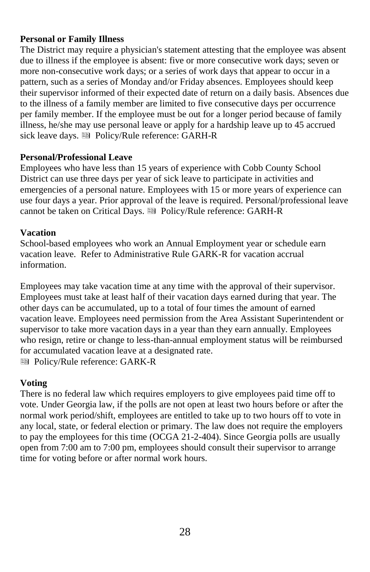#### **Personal or Family Illness**

The District may require a physician's statement attesting that the employee was absent due to illness if the employee is absent: five or more consecutive work days; seven or more non-consecutive work days; or a series of work days that appear to occur in a pattern, such as a series of Monday and/or Friday absences. Employees should keep their supervisor informed of their expected date of return on a daily basis. Absences due to the illness of a family member are limited to five consecutive days per occurrence per family member. If the employee must be out for a longer period because of family illness, he/she may use personal leave or apply for a hardship leave up to 45 accrued sick leave days. **••** Policy/Rule reference: GARH-R

#### **Personal/Professional Leave**

Employees who have less than 15 years of experience with Cobb County School District can use three days per year of sick leave to participate in activities and emergencies of a personal nature. Employees with 15 or more years of experience can use four days a year. Prior approval of the leave is required. Personal/professional leave cannot be taken on Critical Days. **IDEN** Policy/Rule reference: GARH-R

#### **Vacation**

School-based employees who work an Annual Employment year or schedule earn vacation leave. Refer to Administrative Rule GARK-R for vacation accrual information.

Employees may take vacation time at any time with the approval of their supervisor. Employees must take at least half of their vacation days earned during that year. The other days can be accumulated, up to a total of four times the amount of earned vacation leave. Employees need permission from the Area Assistant Superintendent or supervisor to take more vacation days in a year than they earn annually. Employees who resign, retire or change to less-than-annual employment status will be reimbursed for accumulated vacation leave at a designated rate.

Policy/Rule reference: GARK-R

#### **Voting**

There is no federal law which requires employers to give employees paid time off to vote. Under Georgia law, if the polls are not open at least two hours before or after the normal work period/shift, employees are entitled to take up to two hours off to vote in any local, state, or federal election or primary. The law does not require the employers to pay the employees for this time (OCGA 21-2-404). Since Georgia polls are usually open from 7:00 am to 7:00 pm, employees should consult their supervisor to arrange time for voting before or after normal work hours.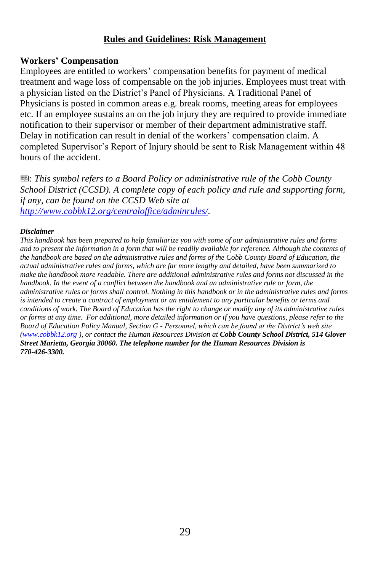#### **Rules and Guidelines: Risk Management**

#### **Workers' Compensation**

Employees are entitled to workers' compensation benefits for payment of medical treatment and wage loss of compensable on the job injuries. Employees must treat with a physician listed on the District's Panel of Physicians. A Traditional Panel of Physicians is posted in common areas e.g. break rooms, meeting areas for employees etc. If an employee sustains an on the job injury they are required to provide immediate notification to their supervisor or member of their department administrative staff. Delay in notification can result in denial of the workers' compensation claim. A completed Supervisor's Report of Injury should be sent to Risk Management within 48 hours of the accident.

: *This symbol refers to a Board Policy or administrative rule of the Cobb County School District (CCSD). A complete copy of each policy and rule and supporting form, if any, can be found on the CCSD Web site at [http://www.cobbk12.org/centraloffice/adminrules/.](http://www.cobbk12.org/centraloffice/adminrules/)*

#### *Disclaimer*

*This handbook has been prepared to help familiarize you with some of our administrative rules and forms and to present the information in a form that will be readily available for reference. Although the contents of the handbook are based on the administrative rules and forms of the Cobb County Board of Education, the actual administrative rules and forms, which are far more lengthy and detailed, have been summarized to make the handbook more readable. There are additional administrative rules and forms not discussed in the handbook. In the event of a conflict between the handbook and an administrative rule or form, the administrative rules or forms shall control. Nothing in this handbook or in the administrative rules and forms is intended to create a contract of employment or an entitlement to any particular benefits or terms and conditions of work. The Board of Education has the right to change or modify any of its administrative rules or forms at any time. For additional, more detailed information or if you have questions, please refer to the Board of Education Policy Manual, Section G - Personnel, which can be found at the District's web site [\(www.cobbk12.org](http://www.cobbk12.org/) ), or contact the Human Resources Division at Cobb County School District, 514 Glover Street Marietta, Georgia 30060. The telephone number for the Human Resources Division is 770-426-3300.*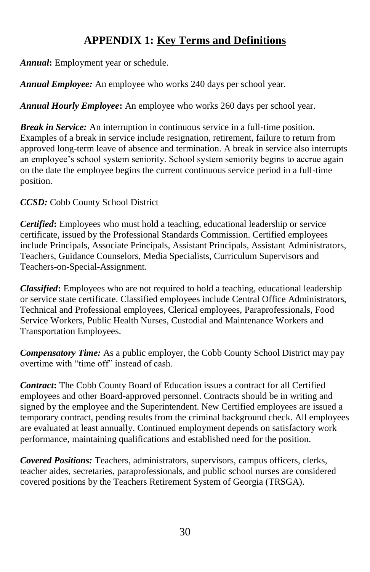# **APPENDIX 1: Key Terms and Definitions**

*Annual***:** Employment year or schedule.

*Annual Employee:* An employee who works 240 days per school year.

*Annual Hourly Employee***:** An employee who works 260 days per school year.

*Break in Service:* An interruption in continuous service in a full-time position. Examples of a break in service include resignation, retirement, failure to return from approved long-term leave of absence and termination. A break in service also interrupts an employee's school system seniority. School system seniority begins to accrue again on the date the employee begins the current continuous service period in a full-time position.

*CCSD:* Cobb County School District

*Certified***:** Employees who must hold a teaching, educational leadership or service certificate, issued by the Professional Standards Commission. Certified employees include Principals, Associate Principals, Assistant Principals, Assistant Administrators, Teachers, Guidance Counselors, Media Specialists, Curriculum Supervisors and Teachers-on-Special-Assignment.

*Classified***:** Employees who are not required to hold a teaching, educational leadership or service state certificate. Classified employees include Central Office Administrators, Technical and Professional employees, Clerical employees, Paraprofessionals, Food Service Workers, Public Health Nurses, Custodial and Maintenance Workers and Transportation Employees.

*Compensatory Time:* As a public employer, the Cobb County School District may pay overtime with "time off" instead of cash.

*Contract***:** The Cobb County Board of Education issues a contract for all Certified employees and other Board-approved personnel. Contracts should be in writing and signed by the employee and the Superintendent. New Certified employees are issued a temporary contract, pending results from the criminal background check. All employees are evaluated at least annually. Continued employment depends on satisfactory work performance, maintaining qualifications and established need for the position.

*Covered Positions:* Teachers, administrators, supervisors, campus officers, clerks, teacher aides, secretaries, paraprofessionals, and public school nurses are considered covered positions by the Teachers Retirement System of Georgia (TRSGA).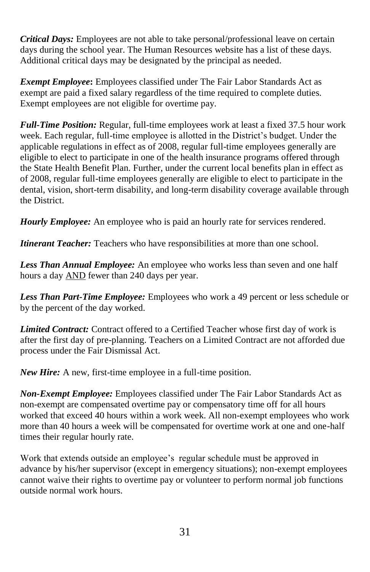*Critical Days:* Employees are not able to take personal/professional leave on certain days during the school year. The Human Resources website has a list of these days. Additional critical days may be designated by the principal as needed.

*Exempt Employee***:** Employees classified under The Fair Labor Standards Act as exempt are paid a fixed salary regardless of the time required to complete duties. Exempt employees are not eligible for overtime pay.

*Full-Time Position:* Regular, full-time employees work at least a fixed 37.5 hour work week. Each regular, full-time employee is allotted in the District's budget. Under the applicable regulations in effect as of 2008, regular full-time employees generally are eligible to elect to participate in one of the health insurance programs offered through the State Health Benefit Plan. Further, under the current local benefits plan in effect as of 2008, regular full-time employees generally are eligible to elect to participate in the dental, vision, short-term disability, and long-term disability coverage available through the District.

*Hourly Employee:* An employee who is paid an hourly rate for services rendered.

*Itinerant Teacher:* Teachers who have responsibilities at more than one school.

*Less Than Annual Employee:* An employee who works less than seven and one half hours a day AND fewer than 240 days per year.

*Less Than Part-Time Employee:* Employees who work a 49 percent or less schedule or by the percent of the day worked.

*Limited Contract:* Contract offered to a Certified Teacher whose first day of work is after the first day of pre-planning. Teachers on a Limited Contract are not afforded due process under the Fair Dismissal Act.

*New Hire:* A new, first-time employee in a full-time position.

*Non-Exempt Employee:* Employees classified under The Fair Labor Standards Act as non-exempt are compensated overtime pay or compensatory time off for all hours worked that exceed 40 hours within a work week. All non-exempt employees who work more than 40 hours a week will be compensated for overtime work at one and one-half times their regular hourly rate.

Work that extends outside an employee's regular schedule must be approved in advance by his/her supervisor (except in emergency situations); non-exempt employees cannot waive their rights to overtime pay or volunteer to perform normal job functions outside normal work hours.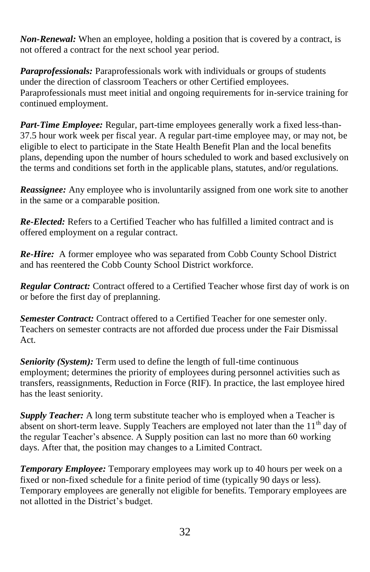*Non-Renewal:* When an employee, holding a position that is covered by a contract, is not offered a contract for the next school year period.

*Paraprofessionals:* Paraprofessionals work with individuals or groups of students under the direction of classroom Teachers or other Certified employees. Paraprofessionals must meet initial and ongoing requirements for in-service training for continued employment.

*Part-Time Employee:* Regular, part-time employees generally work a fixed less-than-37.5 hour work week per fiscal year. A regular part-time employee may, or may not, be eligible to elect to participate in the State Health Benefit Plan and the local benefits plans, depending upon the number of hours scheduled to work and based exclusively on the terms and conditions set forth in the applicable plans, statutes, and/or regulations.

*Reassignee:* Any employee who is involuntarily assigned from one work site to another in the same or a comparable position.

*Re-Elected:* Refers to a Certified Teacher who has fulfilled a limited contract and is offered employment on a regular contract.

*Re-Hire:* A former employee who was separated from Cobb County School District and has reentered the Cobb County School District workforce.

*Regular Contract:* Contract offered to a Certified Teacher whose first day of work is on or before the first day of preplanning.

*Semester Contract:* Contract offered to a Certified Teacher for one semester only. Teachers on semester contracts are not afforded due process under the Fair Dismissal Act.

*Seniority (System):* Term used to define the length of full-time continuous employment; determines the priority of employees during personnel activities such as transfers, reassignments, Reduction in Force (RIF). In practice, the last employee hired has the least seniority.

*Supply Teacher:* A long term substitute teacher who is employed when a Teacher is absent on short-term leave. Supply Teachers are employed not later than the  $11<sup>th</sup>$  day of the regular Teacher's absence. A Supply position can last no more than 60 working days. After that, the position may changes to a Limited Contract.

*Temporary Employee:* Temporary employees may work up to 40 hours per week on a fixed or non-fixed schedule for a finite period of time (typically 90 days or less). Temporary employees are generally not eligible for benefits. Temporary employees are not allotted in the District's budget.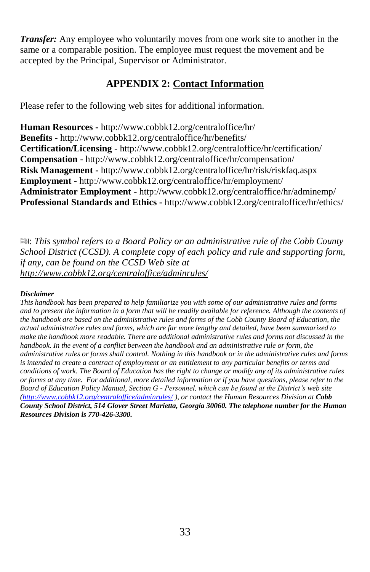*Transfer:* Any employee who voluntarily moves from one work site to another in the same or a comparable position. The employee must request the movement and be accepted by the Principal, Supervisor or Administrator.

# **APPENDIX 2: Contact Information**

Please refer to the following web sites for additional information.

**Human Resources -** http://www.cobbk12.org/centraloffice/hr/ **Benefits -** http://www.cobbk12.org/centraloffice/hr/benefits/ **Certification/Licensing -** http://www.cobbk12.org/centraloffice/hr/certification/ **Compensation** - http://www.cobbk12.org/centraloffice/hr/compensation/ **Risk Management -** http://www.cobbk12.org/centraloffice/hr/risk/riskfaq.aspx **Employment -** http://www.cobbk12.org/centraloffice/hr/employment/ **Administrator Employment -** http://www.cobbk12.org/centraloffice/hr/adminemp/ **Professional Standards and Ethics -** http://www.cobbk12.org/centraloffice/hr/ethics/

: *This symbol refers to a Board Policy or an administrative rule of the Cobb County School District (CCSD). A complete copy of each policy and rule and supporting form, if any, can be found on the CCSD Web site at http://www.cobbk12.org/centraloffice/adminrules/*

#### *Disclaimer*

*This handbook has been prepared to help familiarize you with some of our administrative rules and forms and to present the information in a form that will be readily available for reference. Although the contents of the handbook are based on the administrative rules and forms of the Cobb County Board of Education, the actual administrative rules and forms, which are far more lengthy and detailed, have been summarized to make the handbook more readable. There are additional administrative rules and forms not discussed in the handbook. In the event of a conflict between the handbook and an administrative rule or form, the administrative rules or forms shall control. Nothing in this handbook or in the administrative rules and forms is intended to create a contract of employment or an entitlement to any particular benefits or terms and conditions of work. The Board of Education has the right to change or modify any of its administrative rules or forms at any time. For additional, more detailed information or if you have questions, please refer to the Board of Education Policy Manual, Section G - Personnel, which can be found at the District's web site [\(http://www.cobbk12.org/centraloffice/adminrules/](http://www.cobbk12.org/centraloffice/adminrules/) ), or contact the Human Resources Division at Cobb County School District, 514 Glover Street Marietta, Georgia 30060. The telephone number for the Human Resources Division is 770-426-3300.*